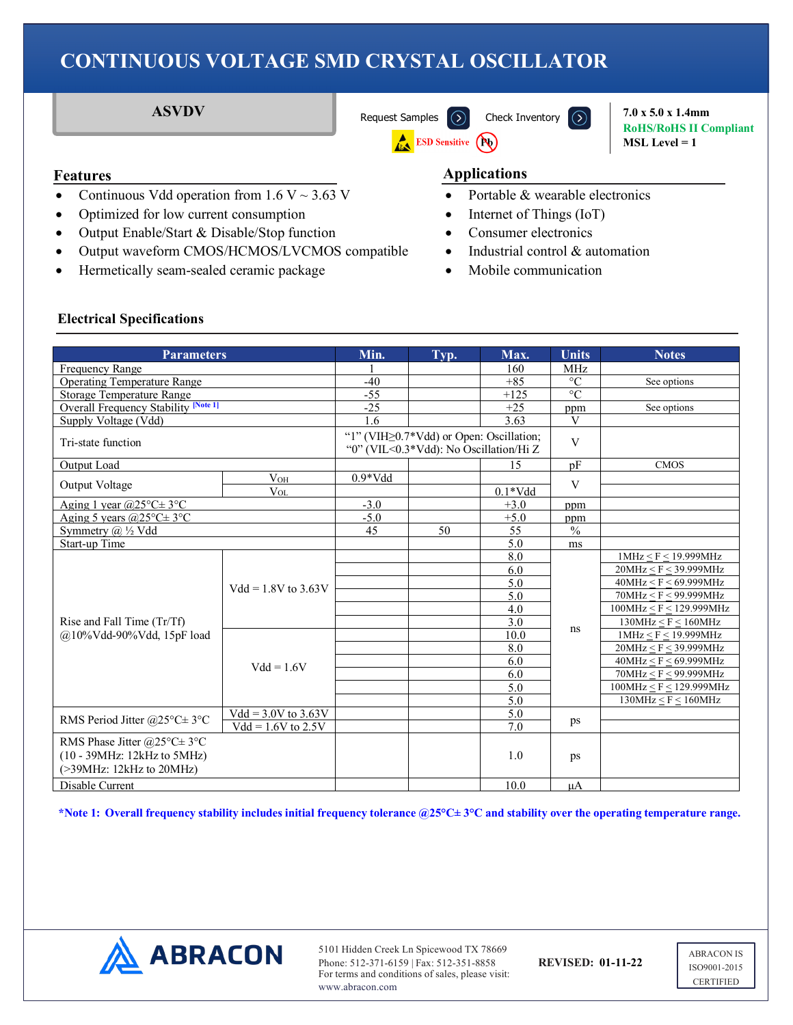**ESD Sensitive (Pb)** 

**ASVDV** [Request Samples](https://www.abraconlink.com/samplelink/samplerequest.php)  $\overline{)}$  [Check Inventory](https://dilp.netcomponents.com/cgi-bin/abracon.asp?partnumber1ASVDV&partnumber2=&partnumber3=&mode=1&pq=Search)  $\overline{)}$  7.0 x 5.0 x 1.4mm

**RoHS/RoHS II Compliant MSL Level = 1**

- Continuous Vdd operation from  $1.6 \text{ V} \sim 3.63 \text{ V}$
- Optimized for low current consumption
- Output Enable/Start & Disable/Stop function
- Output waveform CMOS/HCMOS/LVCMOS compatible
- Hermetically seam-sealed ceramic package

## **Features Applications**

- Portable & wearable electronics
- Internet of Things (IoT)
- Consumer electronics
- Industrial control & automation
- Mobile communication

### **Electrical Specifications**

| <b>Parameters</b>                                                                        |                       | Min.                                                                                     | Typ. | Max.         | <b>Units</b>    | <b>Notes</b>                |
|------------------------------------------------------------------------------------------|-----------------------|------------------------------------------------------------------------------------------|------|--------------|-----------------|-----------------------------|
| Frequency Range                                                                          |                       |                                                                                          |      | 160          | <b>MHz</b>      |                             |
| <b>Operating Temperature Range</b>                                                       |                       | $-40$                                                                                    |      | $+85$        | $\rm ^{\circ}C$ | See options                 |
| Storage Temperature Range                                                                |                       | $-55$                                                                                    |      | $+125$       | $\circ$ C       |                             |
| <b>Overall Frequency Stability [Note 1]</b>                                              |                       | $-25$                                                                                    |      | $+25$        | ppm             | See options                 |
| Supply Voltage (Vdd)                                                                     |                       | 1.6                                                                                      |      | 3.63         | V               |                             |
| Tri-state function                                                                       |                       | "1" (VIH $\geq$ 0.7*Vdd) or Open: Oscillation;<br>"0" (VIL<0.3*Vdd): No Oscillation/Hi Z |      | $\mathbf{V}$ |                 |                             |
| Output Load                                                                              |                       |                                                                                          |      | 15           | pF              | <b>CMOS</b>                 |
|                                                                                          | $V_{OH}$              | $0.9*Vdd$                                                                                |      |              | V               |                             |
| Output Voltage                                                                           | $V_{OL}$              |                                                                                          |      | $0.1*Vdd$    |                 |                             |
| Aging 1 year $(25^{\circ}C \pm 3^{\circ}C)$                                              |                       | $-3.0$                                                                                   |      | $+3.0$       | ppm             |                             |
| Aging 5 years $(225^{\circ}C \pm 3^{\circ}C)$                                            |                       | $-5.0$                                                                                   |      | $+5.0$       | ppm             |                             |
| Symmetry @ 1/2 Vdd                                                                       |                       | 45                                                                                       | 50   | 55           | $\frac{0}{0}$   |                             |
| Start-up Time                                                                            |                       |                                                                                          |      | 5.0          | ms              |                             |
|                                                                                          |                       |                                                                                          |      | 8.0          |                 | 1MHz < F < 19.999MHz        |
|                                                                                          |                       |                                                                                          |      | 6.0          | ns              | 20MHz < F < 39.999MHz       |
|                                                                                          | $Vdd = 1.8V$ to 3.63V |                                                                                          |      | 5.0          |                 | 40MHz < F < 69.999MHz       |
|                                                                                          |                       |                                                                                          |      | 5.0          |                 | 70MHz < F < 99.999MHz       |
|                                                                                          |                       |                                                                                          |      | 4.0          |                 | 100MHz < F < 129.999MHz     |
| Rise and Fall Time (Tr/Tf)                                                               |                       |                                                                                          |      | 3.0          |                 | $130MHz \leq F \leq 160MHz$ |
| @10%Vdd-90%Vdd, 15pF load                                                                |                       |                                                                                          |      | 10.0         |                 | 1MHz < F < 19.999MHz        |
|                                                                                          |                       |                                                                                          |      | 8.0          |                 | 20MHz < F < 39.999MHz       |
|                                                                                          | $Vdd = 1.6V$          |                                                                                          |      | 6.0          |                 | 40MHz < F < 69.999MHz       |
|                                                                                          |                       |                                                                                          |      | 6.0          |                 | 70MHz < F < 99.999MHz       |
|                                                                                          |                       |                                                                                          |      | 5.0          |                 | 100MHz < F < 129.999MHz     |
|                                                                                          |                       |                                                                                          |      | 5.0          |                 | $130MHz \leq F \leq 160MHz$ |
| RMS Period Jitter @25°C $\pm$ 3°C                                                        | $Vdd = 3.0V$ to 3.63V |                                                                                          |      | 5.0          | ps              |                             |
|                                                                                          | $Vdd = 1.6V$ to 2.5V  |                                                                                          |      | 7.0          |                 |                             |
| RMS Phase Jitter @25°C±3°C<br>(10 - 39MHz: 12kHz to 5MHz)<br>$(>39$ MHz: 12kHz to 20MHz) |                       |                                                                                          |      | 1.0          | ps              |                             |
| Disable Current                                                                          |                       |                                                                                          |      | 10.0         | $\mu A$         |                             |

**\*Note 1: Overall frequency stability includes initial frequency tolerance @25°C± 3°C and stability over the operating temperature range.**



5101 Hidden Creek Ln Spicewood TX 78669 Phone: 512-371-6159 | Fax: 512-351-8858 **REVISED: 01-11-22** For terms and conditions of sales, please visit: www.abracon.com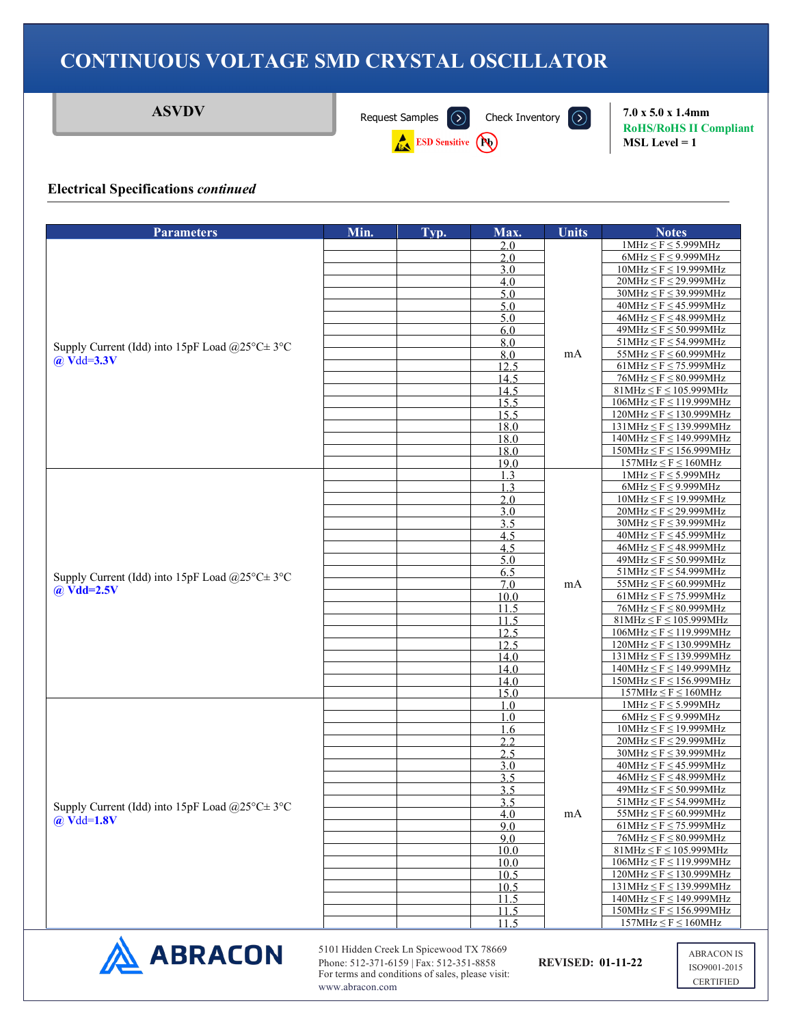**ASVDV** [Request Samples](https://www.abraconlink.com/samplelink/samplerequest.php)  $\overline{)}$  [Check Inventory](https://dilp.netcomponents.com/cgi-bin/abracon.asp?partnumber1ASVDV&partnumber2=&partnumber3=&mode=1&pq=Search)  $\overline{)}$  7.0 x 5.0 x 1.4mm

ESD Sensitive (Po)



**RoHS/RoHS II Compliant MSL Level = 1**

#### **Electrical Specifications** *continued*

| Typ.<br>2.0<br>2.0<br>3.0<br>4.0<br>5.0<br>5.0<br>5.0<br>6.0<br>8.0<br>Supply Current (Idd) into 15pF Load @25 $\textdegree$ C $\pm$ 3 $\textdegree$ C<br>8.0<br>$\omega$ Vdd=3.3V<br>12.5<br>14.5<br>14.5<br>15.5<br>15.5<br>18.0<br>18.0<br>18.0<br>19.0<br>1.3<br>1.3<br>2.0<br>3.0<br>3.5<br>4.5<br>4.5 | mA | $1MHz \le F \le 5.999MHz$<br>$6MHz \le F \le 9.999MHz$<br>$10MHz \leq F \leq 19.999MHz$<br>$20MHz \leq F \leq 29.999MHz$<br>$30MHz \leq F \leq 39.999MHz$<br>$40MHz \leq F \leq 45.999MHz$<br>$46MHz \leq F \leq 48.999MHz$<br>$49MHz \leq F \leq 50.999MHz$<br>$51MHz \leq F \leq 54.999MHz$<br>$55MHz \le F \le 60.999MHz$<br>$61MHz \leq F \leq 75.999MHz$<br>$76MHz \leq F \leq 80.999MHz$ |
|-------------------------------------------------------------------------------------------------------------------------------------------------------------------------------------------------------------------------------------------------------------------------------------------------------------|----|------------------------------------------------------------------------------------------------------------------------------------------------------------------------------------------------------------------------------------------------------------------------------------------------------------------------------------------------------------------------------------------------|
|                                                                                                                                                                                                                                                                                                             |    |                                                                                                                                                                                                                                                                                                                                                                                                |
|                                                                                                                                                                                                                                                                                                             |    |                                                                                                                                                                                                                                                                                                                                                                                                |
|                                                                                                                                                                                                                                                                                                             |    |                                                                                                                                                                                                                                                                                                                                                                                                |
|                                                                                                                                                                                                                                                                                                             |    |                                                                                                                                                                                                                                                                                                                                                                                                |
|                                                                                                                                                                                                                                                                                                             |    |                                                                                                                                                                                                                                                                                                                                                                                                |
|                                                                                                                                                                                                                                                                                                             |    |                                                                                                                                                                                                                                                                                                                                                                                                |
|                                                                                                                                                                                                                                                                                                             |    |                                                                                                                                                                                                                                                                                                                                                                                                |
|                                                                                                                                                                                                                                                                                                             |    |                                                                                                                                                                                                                                                                                                                                                                                                |
|                                                                                                                                                                                                                                                                                                             |    |                                                                                                                                                                                                                                                                                                                                                                                                |
|                                                                                                                                                                                                                                                                                                             |    |                                                                                                                                                                                                                                                                                                                                                                                                |
|                                                                                                                                                                                                                                                                                                             |    | $81MHz \leq F \leq 105.999MHz$                                                                                                                                                                                                                                                                                                                                                                 |
|                                                                                                                                                                                                                                                                                                             |    | $106MHz \leq F \leq 119.999MHz$                                                                                                                                                                                                                                                                                                                                                                |
|                                                                                                                                                                                                                                                                                                             |    | $120MHz \le F \le 130.999MHz$                                                                                                                                                                                                                                                                                                                                                                  |
|                                                                                                                                                                                                                                                                                                             |    | $131MHz \leq F \leq 139.999MHz$                                                                                                                                                                                                                                                                                                                                                                |
|                                                                                                                                                                                                                                                                                                             |    | $140MHz \leq F \leq 149.999MHz$                                                                                                                                                                                                                                                                                                                                                                |
|                                                                                                                                                                                                                                                                                                             |    | $150MHz \leq F \leq 156.999MHz$                                                                                                                                                                                                                                                                                                                                                                |
|                                                                                                                                                                                                                                                                                                             |    | $157MHz \leq F \leq 160MHz$<br>$1MHz \le F \le 5.999MHz$                                                                                                                                                                                                                                                                                                                                       |
|                                                                                                                                                                                                                                                                                                             |    | $6MHz \le F \le 9.999MHz$                                                                                                                                                                                                                                                                                                                                                                      |
|                                                                                                                                                                                                                                                                                                             |    | $10MHz \leq F \leq 19.999MHz$                                                                                                                                                                                                                                                                                                                                                                  |
|                                                                                                                                                                                                                                                                                                             |    | $20MHz \leq F \leq 29.999MHz$                                                                                                                                                                                                                                                                                                                                                                  |
|                                                                                                                                                                                                                                                                                                             |    | $30MHz \leq F \leq 39.999MHz$                                                                                                                                                                                                                                                                                                                                                                  |
|                                                                                                                                                                                                                                                                                                             |    | $40MHz \leq F \leq 45.999MHz$                                                                                                                                                                                                                                                                                                                                                                  |
|                                                                                                                                                                                                                                                                                                             |    | $46MHz \leq F \leq 48.999MHz$                                                                                                                                                                                                                                                                                                                                                                  |
| 5.0                                                                                                                                                                                                                                                                                                         |    | $49MHz \leq F \leq 50.999MHz$<br>$51MHz \leq F \leq 54.999MHz$                                                                                                                                                                                                                                                                                                                                 |
| 6.5<br>Supply Current (Idd) into 15pF Load @25°C $\pm$ 3°C<br>7.0                                                                                                                                                                                                                                           | mA | $55MHz \leq F \leq 60.999MHz$                                                                                                                                                                                                                                                                                                                                                                  |
| $@$ Vdd=2.5V<br>10.0                                                                                                                                                                                                                                                                                        |    | $61MHz \leq F \leq 75.999MHz$                                                                                                                                                                                                                                                                                                                                                                  |
| 11.5                                                                                                                                                                                                                                                                                                        |    | $76MHz \leq F \leq 80.999MHz$                                                                                                                                                                                                                                                                                                                                                                  |
| 11.5                                                                                                                                                                                                                                                                                                        |    | $81MHz \leq F \leq 105.999MHz$                                                                                                                                                                                                                                                                                                                                                                 |
| 12.5                                                                                                                                                                                                                                                                                                        |    | $106MHz \leq F \leq 119.999MHz$                                                                                                                                                                                                                                                                                                                                                                |
| $12.\overline{5}$                                                                                                                                                                                                                                                                                           |    | $120MHz \le F \le 130.999MHz$                                                                                                                                                                                                                                                                                                                                                                  |
| 14.0<br>14.0                                                                                                                                                                                                                                                                                                |    | $131MHz \leq F \leq 139.999MHz$<br>$140MHz \leq F \leq 149.999MHz$                                                                                                                                                                                                                                                                                                                             |
| 14.0                                                                                                                                                                                                                                                                                                        |    | $150MHz \leq F \leq 156.999MHz$                                                                                                                                                                                                                                                                                                                                                                |
| 15.0                                                                                                                                                                                                                                                                                                        |    | $157MHz \leq F \leq 160MHz$                                                                                                                                                                                                                                                                                                                                                                    |
| 1.0                                                                                                                                                                                                                                                                                                         |    | $1MHz \le F \le 5.999MHz$                                                                                                                                                                                                                                                                                                                                                                      |
| 1.0                                                                                                                                                                                                                                                                                                         |    | $6MHz \le F \le 9.999MHz$                                                                                                                                                                                                                                                                                                                                                                      |
| 1.6                                                                                                                                                                                                                                                                                                         |    | $10MHz \leq F \leq 19.999MHz$                                                                                                                                                                                                                                                                                                                                                                  |
| 2.2<br>2.5                                                                                                                                                                                                                                                                                                  |    | $20MHz \leq F \leq 29.999MHz$<br>$30MHz \leq F \leq 39.999MHz$                                                                                                                                                                                                                                                                                                                                 |
| 3.0                                                                                                                                                                                                                                                                                                         |    | $40MHz \leq F \leq 45.999MHz$                                                                                                                                                                                                                                                                                                                                                                  |
| 3.5                                                                                                                                                                                                                                                                                                         |    | $46MHz \leq F \leq 48.999MHz$                                                                                                                                                                                                                                                                                                                                                                  |
| 3.5                                                                                                                                                                                                                                                                                                         |    | $49MHz \leq F \leq 50.999MHz$                                                                                                                                                                                                                                                                                                                                                                  |
| 3.5<br>Supply Current (Idd) into 15pF Load @25°C $\pm$ 3°C                                                                                                                                                                                                                                                  |    | $51MHz \leq F \leq 54.999MHz$                                                                                                                                                                                                                                                                                                                                                                  |
| 4.0<br>$@$ Vdd=1.8V                                                                                                                                                                                                                                                                                         | mA | $55MHz \leq F \leq 60.999MHz$                                                                                                                                                                                                                                                                                                                                                                  |
| 9.0                                                                                                                                                                                                                                                                                                         |    | $61MHz \leq F \leq 75.999MHz$                                                                                                                                                                                                                                                                                                                                                                  |
| 9.0<br>10.0                                                                                                                                                                                                                                                                                                 |    | $76MHz \leq F \leq 80.999MHz$<br>$81MHz \leq F \leq 105.999MHz$                                                                                                                                                                                                                                                                                                                                |
| 10.0                                                                                                                                                                                                                                                                                                        |    | $106MHz \leq F \leq 119.999MHz$                                                                                                                                                                                                                                                                                                                                                                |
| 10.5                                                                                                                                                                                                                                                                                                        |    | $120MHz \leq F \leq 130.999MHz$                                                                                                                                                                                                                                                                                                                                                                |
| 10.5                                                                                                                                                                                                                                                                                                        |    | $131MHz \leq F \leq 139.999MHz$                                                                                                                                                                                                                                                                                                                                                                |
| 11.5                                                                                                                                                                                                                                                                                                        |    |                                                                                                                                                                                                                                                                                                                                                                                                |
| 11.5                                                                                                                                                                                                                                                                                                        |    | $140MHz \leq F \leq 149.999MHz$                                                                                                                                                                                                                                                                                                                                                                |
| 11.5                                                                                                                                                                                                                                                                                                        |    | $150MHz \leq F \leq 156.999MHz$<br>$157MHz \leq F \leq 160MHz$                                                                                                                                                                                                                                                                                                                                 |



5101 Hidden Creek Ln Spicewood TX 78669 Phone: 512-371-6159 | Fax: 512-351-8858 **REVISED: 01-11-22** For terms and conditions of sales, please visit: www.abracon.com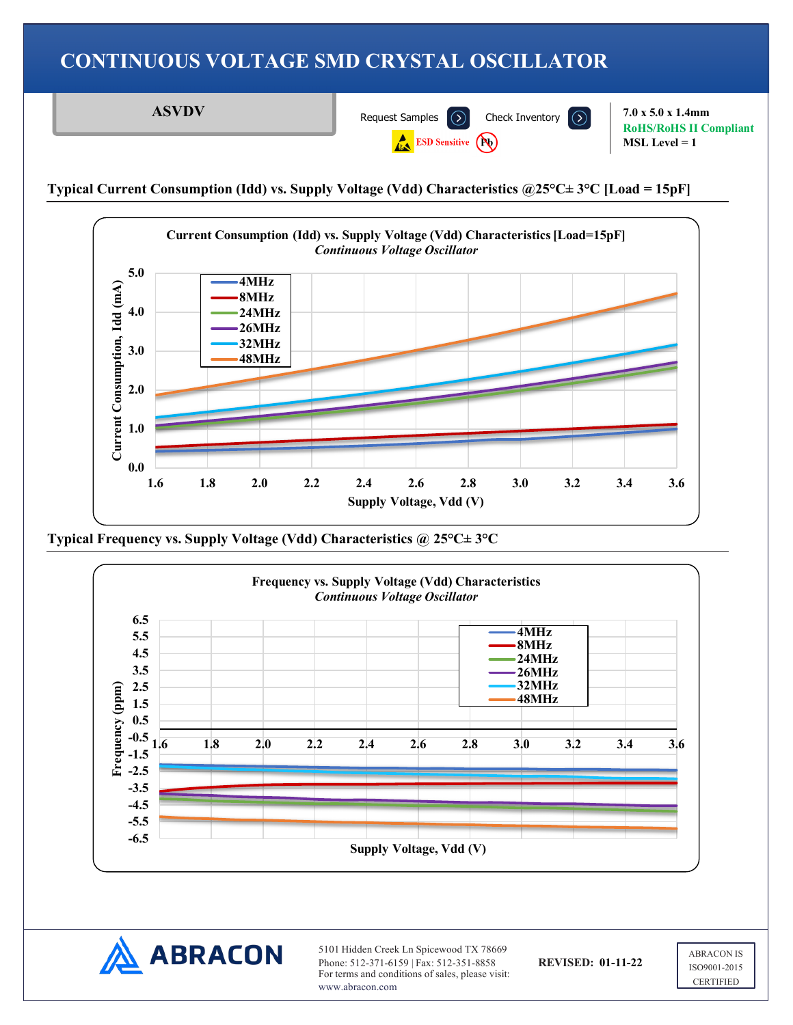**ASVDV** [Request Samples](https://www.abraconlink.com/samplelink/samplerequest.php)  $\overline{)}$  [Check Inventory](https://dilp.netcomponents.com/cgi-bin/abracon.asp?partnumber1ASVDV&partnumber2=&partnumber3=&mode=1&pq=Search)  $\overline{)}$  7.0 x 5.0 x 1.4mm **RoHS/RoHS II Compliant ESD Sensitive (Pu) MSL Level = 1**

**Typical Current Consumption (Idd) vs. Supply Voltage (Vdd) Characteristics @25°C± 3°C [Load = 15pF]**



**Typical Frequency vs. Supply Voltage (Vdd) Characteristics @ 25°C± 3°C**





5101 Hidden Creek Ln Spicewood TX 78669 Phone: 512-371-6159 | Fax: 512-351-8858 **REVISED: 01-11-22** For terms and conditions of sales, please visit: www.abracon.com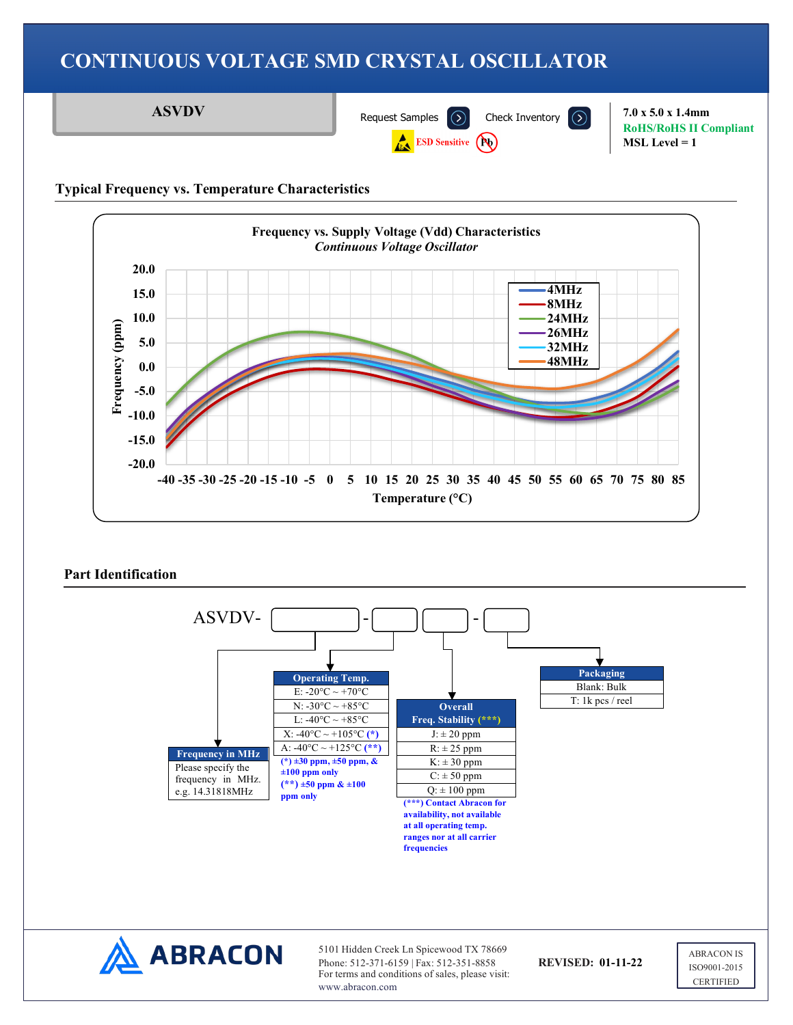**ASVDV** [Request Samples](https://www.abraconlink.com/samplelink/samplerequest.php)  $\overline{)}$  [Check Inventory](https://dilp.netcomponents.com/cgi-bin/abracon.asp?partnumber1ASVDV&partnumber2=&partnumber3=&mode=1&pq=Search)  $\overline{)}$  7.0 x 5.0 x 1.4mm

**ESD Sensitive (Pu)** 

**RoHS/RoHS II Compliant MSL Level = 1**

### **Typical Frequency vs. Temperature Characteristics**





5101 Hidden Creek Ln Spicewood TX 78669 Phone: 512-371-6159 | Fax: 512-351-8858 **REVISED: 01-11-22** For terms and conditions of sales, please visit: www.abracon.com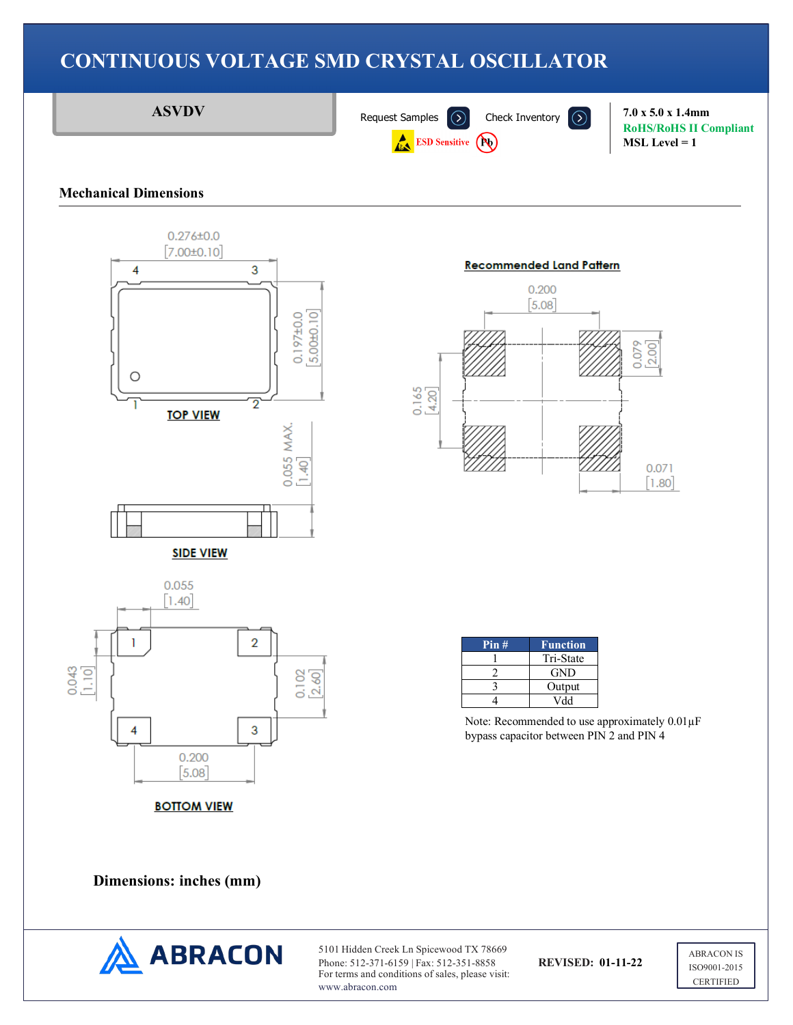

### **Mechanical Dimensions**



#### **Recommended Land Pattern**





| Pin# | <b>Function</b> |
|------|-----------------|
|      | Tri-State       |
|      | <b>GND</b>      |
|      | Output          |
|      | Vdd             |

Note: Recommended to use approximately 0.01µF bypass capacitor between PIN 2 and PIN 4

**Dimensions: inches (mm)**



5101 Hidden Creek Ln Spicewood TX 78669 Phone: 512-371-6159 | Fax: 512-351-8858 **REVISED: 01-11-22** For terms and conditions of sales, please visit: www.abracon.com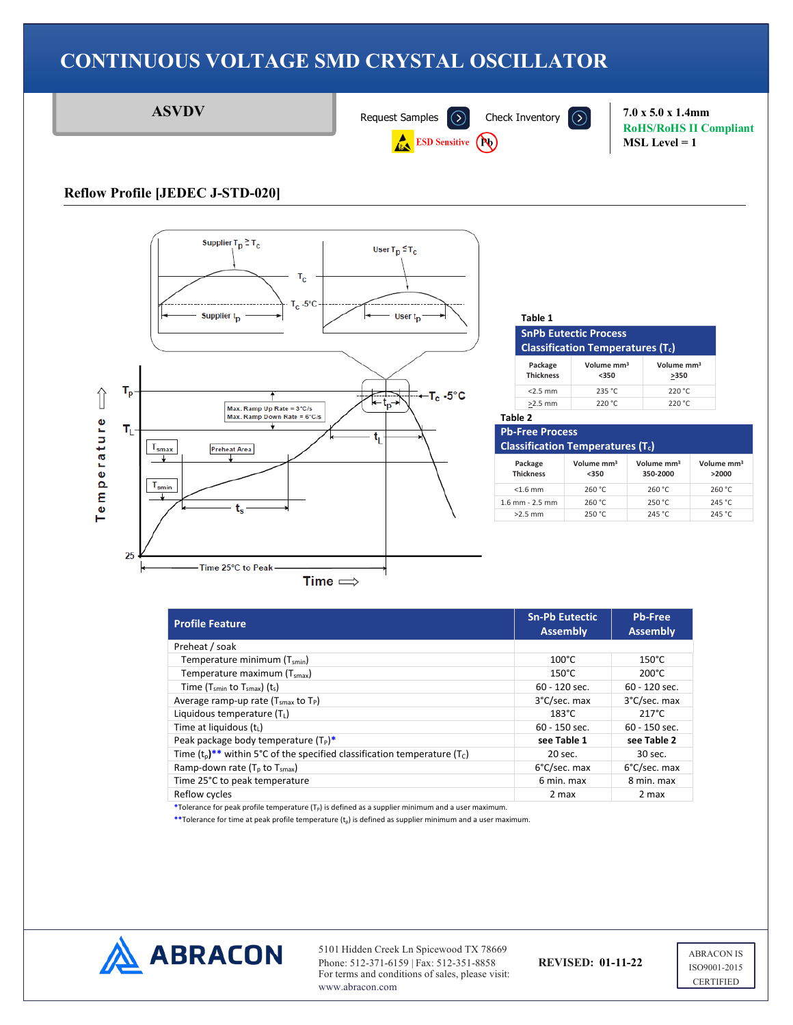



#### **Table 1**

| <b>SnPb Eutectic Process</b>            |
|-----------------------------------------|
| <b>Classification Temperatures (T.)</b> |

| Package<br><b>Thickness</b> | Volume mm <sup>3</sup><br>$350$ | Volume mm <sup>3</sup><br>>350 |
|-----------------------------|---------------------------------|--------------------------------|
| $<$ 2.5 mm                  | 235 °C                          | 220 °C                         |
| $>2.5$ mm                   | 220 °C                          | 220 °C                         |

#### **Table 2 Pb-Free Process**

| <b>Classification Temperatures (Tc)</b> |                                 |                                    |                                 |  |  |
|-----------------------------------------|---------------------------------|------------------------------------|---------------------------------|--|--|
| Package<br><b>Thickness</b>             | Volume mm <sup>3</sup><br>$350$ | Volume mm <sup>3</sup><br>350-2000 | Volume mm <sup>3</sup><br>>2000 |  |  |
| $<$ 1.6 mm                              | 260 °C                          | 260 °C                             | 260 °C                          |  |  |
| $1.6$ mm - $2.5$ mm                     | 260 °C                          | 250 °C                             | 245 °C                          |  |  |
| $>2.5$ mm                               | 250 °C                          | 245 °C                             | 245 °C                          |  |  |

| <b>Profile Feature</b>                                                                              | <b>Sn-Pb Eutectic</b><br><b>Assembly</b> | <b>Pb-Free</b><br><b>Assembly</b> |
|-----------------------------------------------------------------------------------------------------|------------------------------------------|-----------------------------------|
| Preheat / soak                                                                                      |                                          |                                   |
| Temperature minimum (T <sub>smin</sub> )                                                            | $100^{\circ}$ C                          | $150^{\circ}$ C                   |
| Temperature maximum (T <sub>smax</sub> )                                                            | $150^{\circ}$ C                          | $200^{\circ}$ C                   |
| Time $(T_{smin}$ to $T_{smax}$ ) $(t_s)$                                                            | 60 - 120 sec.                            | 60 - 120 sec.                     |
| Average ramp-up rate $(T_{smax}$ to $T_P$ )                                                         | 3°C/sec. max                             | 3°C/sec. max                      |
| Liquidous temperature $(T_1)$                                                                       | $183^{\circ}$ C                          | $217^{\circ}$ C                   |
| Time at liquidous $(ti)$                                                                            | $60 - 150$ sec.                          | $60 - 150$ sec.                   |
| Peak package body temperature $(T_P)^*$                                                             | see Table 1                              | see Table 2                       |
| Time $(t_0)$ <sup>**</sup> within 5°C of the specified classification temperature (T <sub>C</sub> ) | 20 sec.                                  | 30 sec.                           |
| Ramp-down rate ( $T_p$ to $T_{smax}$ )                                                              | 6°C/sec. max                             | 6°C/sec. max                      |
| Time 25°C to peak temperature                                                                       | 6 min. max                               | 8 min. max                        |
| Reflow cycles                                                                                       | 2 max                                    | 2 max                             |

\*Tolerance for peak profile temperature (T<sub>P</sub>) is defined as a supplier minimum and a user maximum.

\*\*Tolerance for time at peak profile temperature (t<sub>p</sub>) is defined as supplier minimum and a user maximum.



5101 Hidden Creek Ln Spicewood TX 78669 Phone: 512-371-6159 | Fax: 512-351-8858 **REVISED: 01-11-22** For terms and conditions of sales, please visit: www.abracon.com